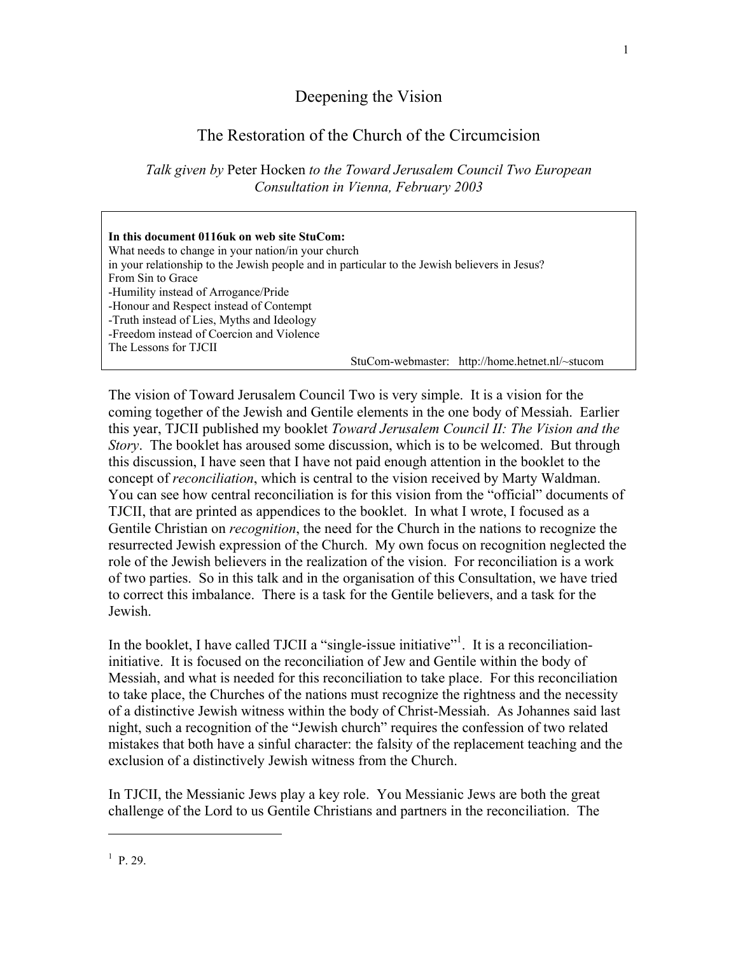## Deepening the Vision

# The Restoration of the Church of the Circumcision

*Talk given by* Peter Hocken *to the Toward Jerusalem Council Two European Consultation in Vienna, February 2003*

| In this document 0116uk on web site StuCom:                                                   |                                                 |
|-----------------------------------------------------------------------------------------------|-------------------------------------------------|
| What needs to change in your nation/in your church                                            |                                                 |
| in your relationship to the Jewish people and in particular to the Jewish believers in Jesus? |                                                 |
| From Sin to Grace                                                                             |                                                 |
| -Humility instead of Arrogance/Pride                                                          |                                                 |
| -Honour and Respect instead of Contempt                                                       |                                                 |
| -Truth instead of Lies, Myths and Ideology                                                    |                                                 |
| -Freedom instead of Coercion and Violence                                                     |                                                 |
| The Lessons for TJCII                                                                         |                                                 |
|                                                                                               | StuCom-webmaster: http://home.hetnet.nl/~stucom |

The vision of Toward Jerusalem Council Two is very simple. It is a vision for the coming together of the Jewish and Gentile elements in the one body of Messiah. Earlier this year, TJCII published my booklet *Toward Jerusalem Council II: The Vision and the Story*. The booklet has aroused some discussion, which is to be welcomed. But through this discussion, I have seen that I have not paid enough attention in the booklet to the concept of *reconciliation*, which is central to the vision received by Marty Waldman. You can see how central reconciliation is for this vision from the "official" documents of TJCII, that are printed as appendices to the booklet. In what I wrote, I focused as a Gentile Christian on *recognition*, the need for the Church in the nations to recognize the resurrected Jewish expression of the Church. My own focus on recognition neglected the role of the Jewish believers in the realization of the vision. For reconciliation is a work of two parties. So in this talk and in the organisation of this Consultation, we have tried to correct this imbalance. There is a task for the Gentile believers, and a task for the Jewish.

In the booklet, I have called TJCII a "single-issue initiative"<sup>[1](#page-0-0)</sup>. It is a reconciliationinitiative. It is focused on the reconciliation of Jew and Gentile within the body of Messiah, and what is needed for this reconciliation to take place. For this reconciliation to take place, the Churches of the nations must recognize the rightness and the necessity of a distinctive Jewish witness within the body of Christ-Messiah. As Johannes said last night, such a recognition of the "Jewish church" requires the confession of two related mistakes that both have a sinful character: the falsity of the replacement teaching and the exclusion of a distinctively Jewish witness from the Church.

In TJCII, the Messianic Jews play a key role. You Messianic Jews are both the great challenge of the Lord to us Gentile Christians and partners in the reconciliation. The

 $\overline{\phantom{a}}$ 

<span id="page-0-0"></span> $^{1}$  P. 29.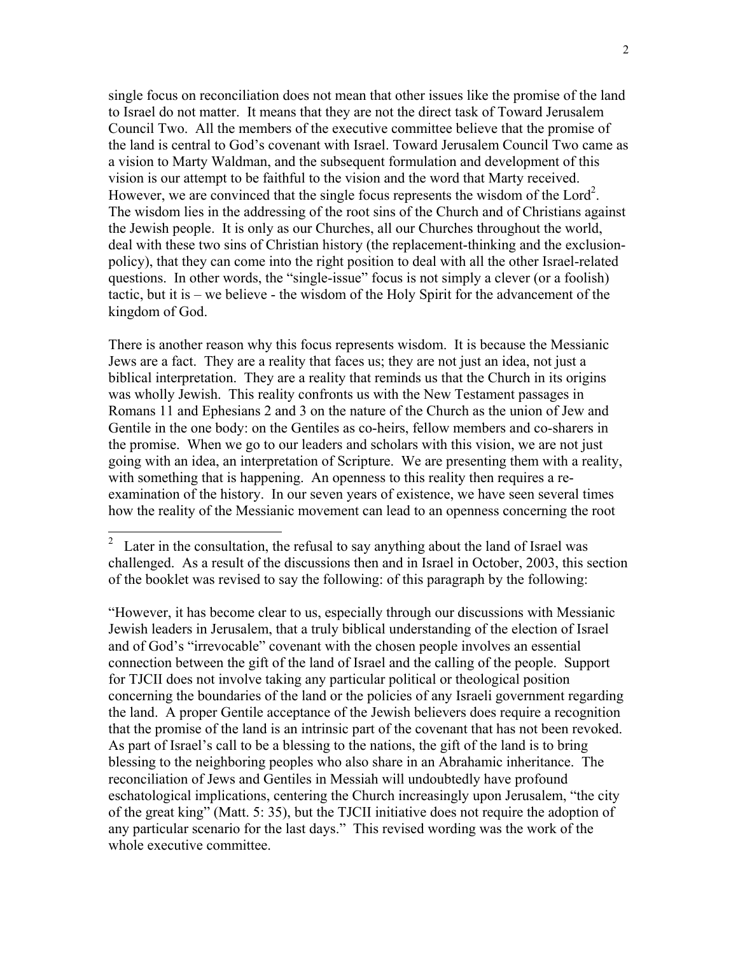single focus on reconciliation does not mean that other issues like the promise of the land to Israel do not matter. It means that they are not the direct task of Toward Jerusalem Council Two. All the members of the executive committee believe that the promise of the land is central to God's covenant with Israel. Toward Jerusalem Council Two came as a vision to Marty Waldman, and the subsequent formulation and development of this vision is our attempt to be faithful to the vision and the word that Marty received. However, we are convinced that the single focus represents the wisdom of the Lord<sup>[2](#page-1-0)</sup>. The wisdom lies in the addressing of the root sins of the Church and of Christians against the Jewish people. It is only as our Churches, all our Churches throughout the world, deal with these two sins of Christian history (the replacement-thinking and the exclusionpolicy), that they can come into the right position to deal with all the other Israel-related questions. In other words, the "single-issue" focus is not simply a clever (or a foolish) tactic, but it is – we believe - the wisdom of the Holy Spirit for the advancement of the kingdom of God.

There is another reason why this focus represents wisdom. It is because the Messianic Jews are a fact. They are a reality that faces us; they are not just an idea, not just a biblical interpretation. They are a reality that reminds us that the Church in its origins was wholly Jewish. This reality confronts us with the New Testament passages in Romans 11 and Ephesians 2 and 3 on the nature of the Church as the union of Jew and Gentile in the one body: on the Gentiles as co-heirs, fellow members and co-sharers in the promise. When we go to our leaders and scholars with this vision, we are not just going with an idea, an interpretation of Scripture. We are presenting them with a reality, with something that is happening. An openness to this reality then requires a reexamination of the history. In our seven years of existence, we have seen several times how the reality of the Messianic movement can lead to an openness concerning the root

"However, it has become clear to us, especially through our discussions with Messianic Jewish leaders in Jerusalem, that a truly biblical understanding of the election of Israel and of God's "irrevocable" covenant with the chosen people involves an essential connection between the gift of the land of Israel and the calling of the people. Support for TJCII does not involve taking any particular political or theological position concerning the boundaries of the land or the policies of any Israeli government regarding the land. A proper Gentile acceptance of the Jewish believers does require a recognition that the promise of the land is an intrinsic part of the covenant that has not been revoked. As part of Israel's call to be a blessing to the nations, the gift of the land is to bring blessing to the neighboring peoples who also share in an Abrahamic inheritance. The reconciliation of Jews and Gentiles in Messiah will undoubtedly have profound eschatological implications, centering the Church increasingly upon Jerusalem, "the city of the great king" (Matt. 5: 35), but the TJCII initiative does not require the adoption of any particular scenario for the last days." This revised wording was the work of the whole executive committee.

<span id="page-1-0"></span><sup>2</sup>  Later in the consultation, the refusal to say anything about the land of Israel was challenged. As a result of the discussions then and in Israel in October, 2003, this section of the booklet was revised to say the following: of this paragraph by the following: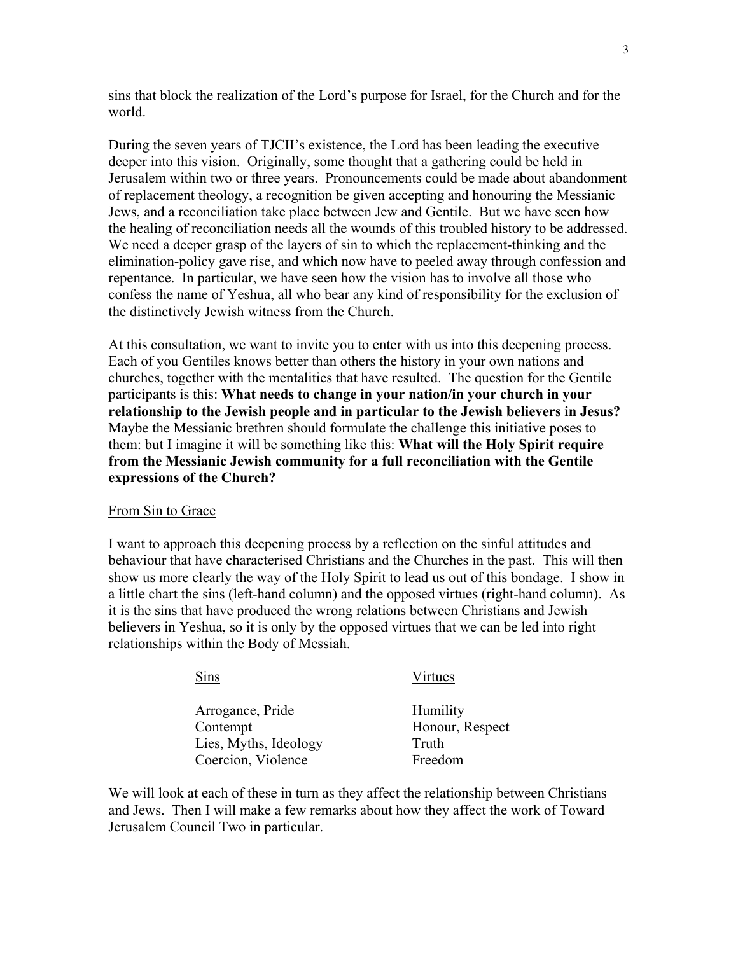sins that block the realization of the Lord's purpose for Israel, for the Church and for the world.

During the seven years of TJCII's existence, the Lord has been leading the executive deeper into this vision. Originally, some thought that a gathering could be held in Jerusalem within two or three years. Pronouncements could be made about abandonment of replacement theology, a recognition be given accepting and honouring the Messianic Jews, and a reconciliation take place between Jew and Gentile. But we have seen how the healing of reconciliation needs all the wounds of this troubled history to be addressed. We need a deeper grasp of the layers of sin to which the replacement-thinking and the elimination-policy gave rise, and which now have to peeled away through confession and repentance. In particular, we have seen how the vision has to involve all those who confess the name of Yeshua, all who bear any kind of responsibility for the exclusion of the distinctively Jewish witness from the Church.

At this consultation, we want to invite you to enter with us into this deepening process. Each of you Gentiles knows better than others the history in your own nations and churches, together with the mentalities that have resulted. The question for the Gentile participants is this: **What needs to change in your nation/in your church in your relationship to the Jewish people and in particular to the Jewish believers in Jesus?** Maybe the Messianic brethren should formulate the challenge this initiative poses to them: but I imagine it will be something like this: **What will the Holy Spirit require from the Messianic Jewish community for a full reconciliation with the Gentile expressions of the Church?**

#### From Sin to Grace

I want to approach this deepening process by a reflection on the sinful attitudes and behaviour that have characterised Christians and the Churches in the past. This will then show us more clearly the way of the Holy Spirit to lead us out of this bondage. I show in a little chart the sins (left-hand column) and the opposed virtues (right-hand column). As it is the sins that have produced the wrong relations between Christians and Jewish believers in Yeshua, so it is only by the opposed virtues that we can be led into right relationships within the Body of Messiah.

| Sins                  | Virtues         |  |
|-----------------------|-----------------|--|
| Arrogance, Pride      | Humility        |  |
| Contempt              | Honour, Respect |  |
| Lies, Myths, Ideology | Truth           |  |
| Coercion, Violence    | Freedom         |  |

We will look at each of these in turn as they affect the relationship between Christians and Jews. Then I will make a few remarks about how they affect the work of Toward Jerusalem Council Two in particular.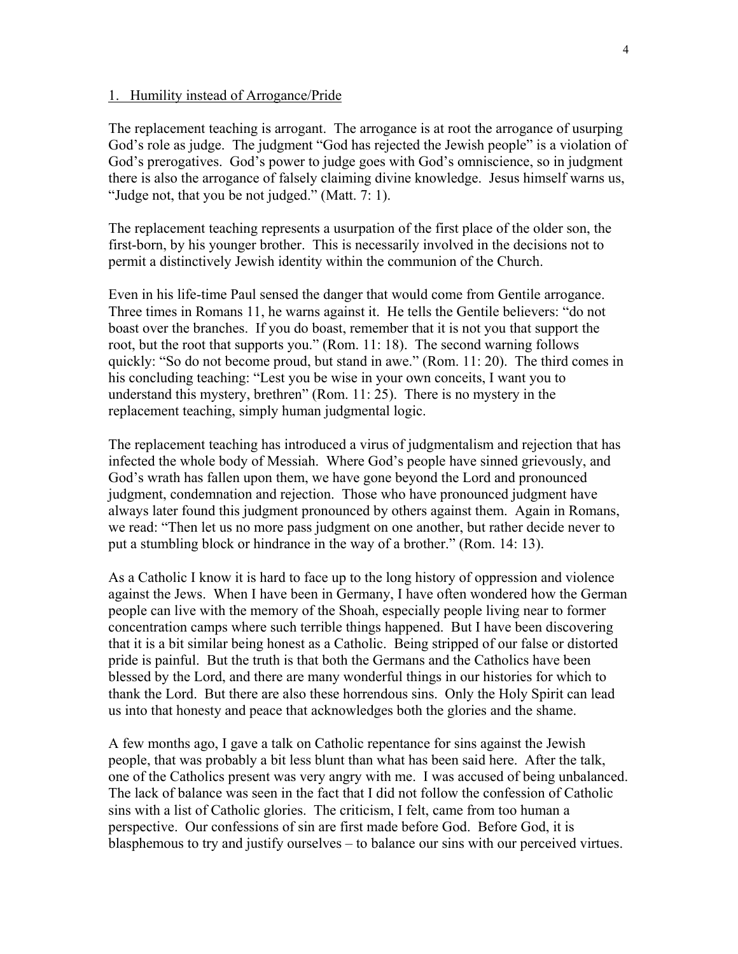### 1. Humility instead of Arrogance/Pride

The replacement teaching is arrogant. The arrogance is at root the arrogance of usurping God's role as judge. The judgment "God has rejected the Jewish people" is a violation of God's prerogatives. God's power to judge goes with God's omniscience, so in judgment there is also the arrogance of falsely claiming divine knowledge. Jesus himself warns us, "Judge not, that you be not judged." (Matt. 7: 1).

The replacement teaching represents a usurpation of the first place of the older son, the first-born, by his younger brother. This is necessarily involved in the decisions not to permit a distinctively Jewish identity within the communion of the Church.

Even in his life-time Paul sensed the danger that would come from Gentile arrogance. Three times in Romans 11, he warns against it. He tells the Gentile believers: "do not boast over the branches. If you do boast, remember that it is not you that support the root, but the root that supports you." (Rom. 11: 18). The second warning follows quickly: "So do not become proud, but stand in awe." (Rom. 11: 20). The third comes in his concluding teaching: "Lest you be wise in your own conceits, I want you to understand this mystery, brethren" (Rom. 11: 25). There is no mystery in the replacement teaching, simply human judgmental logic.

The replacement teaching has introduced a virus of judgmentalism and rejection that has infected the whole body of Messiah. Where God's people have sinned grievously, and God's wrath has fallen upon them, we have gone beyond the Lord and pronounced judgment, condemnation and rejection. Those who have pronounced judgment have always later found this judgment pronounced by others against them. Again in Romans, we read: "Then let us no more pass judgment on one another, but rather decide never to put a stumbling block or hindrance in the way of a brother." (Rom. 14: 13).

As a Catholic I know it is hard to face up to the long history of oppression and violence against the Jews. When I have been in Germany, I have often wondered how the German people can live with the memory of the Shoah, especially people living near to former concentration camps where such terrible things happened. But I have been discovering that it is a bit similar being honest as a Catholic. Being stripped of our false or distorted pride is painful. But the truth is that both the Germans and the Catholics have been blessed by the Lord, and there are many wonderful things in our histories for which to thank the Lord. But there are also these horrendous sins. Only the Holy Spirit can lead us into that honesty and peace that acknowledges both the glories and the shame.

A few months ago, I gave a talk on Catholic repentance for sins against the Jewish people, that was probably a bit less blunt than what has been said here. After the talk, one of the Catholics present was very angry with me. I was accused of being unbalanced. The lack of balance was seen in the fact that I did not follow the confession of Catholic sins with a list of Catholic glories. The criticism, I felt, came from too human a perspective. Our confessions of sin are first made before God. Before God, it is blasphemous to try and justify ourselves – to balance our sins with our perceived virtues.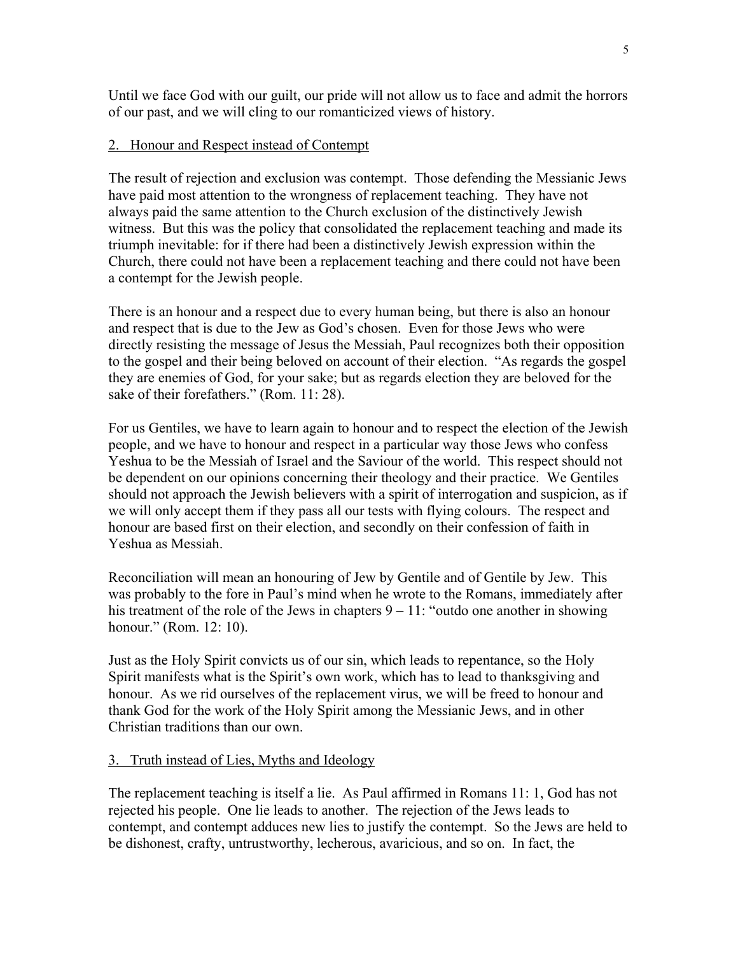Until we face God with our guilt, our pride will not allow us to face and admit the horrors of our past, and we will cling to our romanticized views of history.

### 2. Honour and Respect instead of Contempt

The result of rejection and exclusion was contempt. Those defending the Messianic Jews have paid most attention to the wrongness of replacement teaching. They have not always paid the same attention to the Church exclusion of the distinctively Jewish witness. But this was the policy that consolidated the replacement teaching and made its triumph inevitable: for if there had been a distinctively Jewish expression within the Church, there could not have been a replacement teaching and there could not have been a contempt for the Jewish people.

There is an honour and a respect due to every human being, but there is also an honour and respect that is due to the Jew as God's chosen. Even for those Jews who were directly resisting the message of Jesus the Messiah, Paul recognizes both their opposition to the gospel and their being beloved on account of their election. "As regards the gospel they are enemies of God, for your sake; but as regards election they are beloved for the sake of their forefathers." (Rom. 11: 28).

For us Gentiles, we have to learn again to honour and to respect the election of the Jewish people, and we have to honour and respect in a particular way those Jews who confess Yeshua to be the Messiah of Israel and the Saviour of the world. This respect should not be dependent on our opinions concerning their theology and their practice. We Gentiles should not approach the Jewish believers with a spirit of interrogation and suspicion, as if we will only accept them if they pass all our tests with flying colours. The respect and honour are based first on their election, and secondly on their confession of faith in Yeshua as Messiah.

Reconciliation will mean an honouring of Jew by Gentile and of Gentile by Jew. This was probably to the fore in Paul's mind when he wrote to the Romans, immediately after his treatment of the role of the Jews in chapters  $9 - 11$ : "outdo one another in showing honour." (Rom. 12: 10).

Just as the Holy Spirit convicts us of our sin, which leads to repentance, so the Holy Spirit manifests what is the Spirit's own work, which has to lead to thanksgiving and honour. As we rid ourselves of the replacement virus, we will be freed to honour and thank God for the work of the Holy Spirit among the Messianic Jews, and in other Christian traditions than our own.

### 3. Truth instead of Lies, Myths and Ideology

The replacement teaching is itself a lie. As Paul affirmed in Romans 11: 1, God has not rejected his people. One lie leads to another. The rejection of the Jews leads to contempt, and contempt adduces new lies to justify the contempt. So the Jews are held to be dishonest, crafty, untrustworthy, lecherous, avaricious, and so on. In fact, the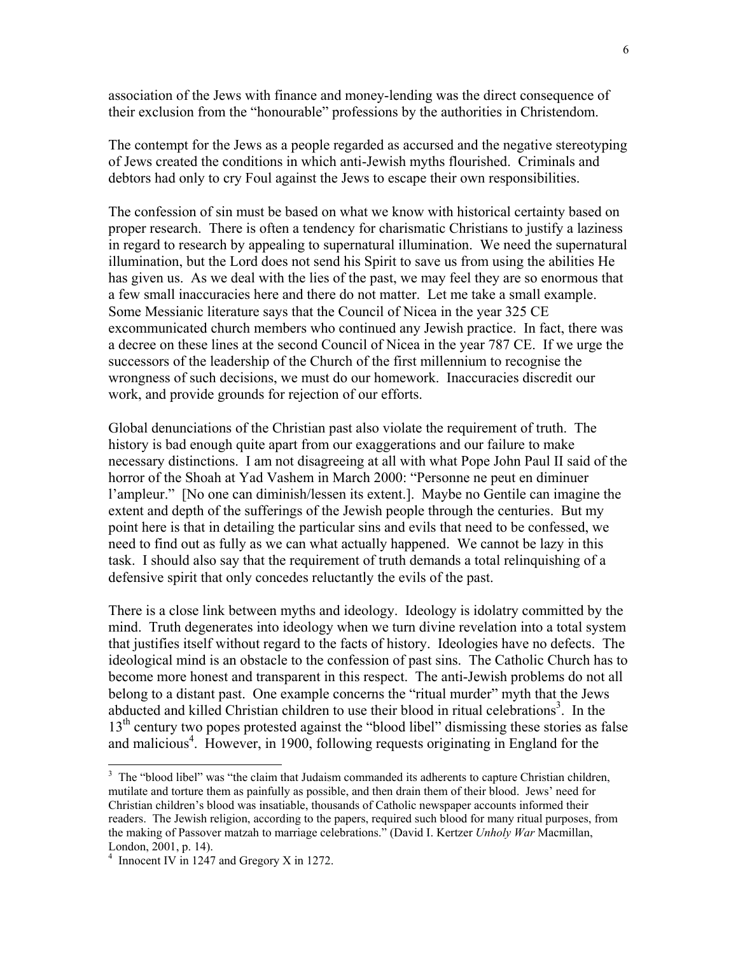association of the Jews with finance and money-lending was the direct consequence of their exclusion from the "honourable" professions by the authorities in Christendom.

The contempt for the Jews as a people regarded as accursed and the negative stereotyping of Jews created the conditions in which anti-Jewish myths flourished. Criminals and debtors had only to cry Foul against the Jews to escape their own responsibilities.

The confession of sin must be based on what we know with historical certainty based on proper research. There is often a tendency for charismatic Christians to justify a laziness in regard to research by appealing to supernatural illumination. We need the supernatural illumination, but the Lord does not send his Spirit to save us from using the abilities He has given us. As we deal with the lies of the past, we may feel they are so enormous that a few small inaccuracies here and there do not matter. Let me take a small example. Some Messianic literature says that the Council of Nicea in the year 325 CE excommunicated church members who continued any Jewish practice. In fact, there was a decree on these lines at the second Council of Nicea in the year 787 CE. If we urge the successors of the leadership of the Church of the first millennium to recognise the wrongness of such decisions, we must do our homework. Inaccuracies discredit our work, and provide grounds for rejection of our efforts.

Global denunciations of the Christian past also violate the requirement of truth. The history is bad enough quite apart from our exaggerations and our failure to make necessary distinctions. I am not disagreeing at all with what Pope John Paul II said of the horror of the Shoah at Yad Vashem in March 2000: "Personne ne peut en diminuer l'ampleur." [No one can diminish/lessen its extent.]. Maybe no Gentile can imagine the extent and depth of the sufferings of the Jewish people through the centuries. But my point here is that in detailing the particular sins and evils that need to be confessed, we need to find out as fully as we can what actually happened. We cannot be lazy in this task. I should also say that the requirement of truth demands a total relinquishing of a defensive spirit that only concedes reluctantly the evils of the past.

There is a close link between myths and ideology. Ideology is idolatry committed by the mind. Truth degenerates into ideology when we turn divine revelation into a total system that justifies itself without regard to the facts of history. Ideologies have no defects. The ideological mind is an obstacle to the confession of past sins. The Catholic Church has to become more honest and transparent in this respect. The anti-Jewish problems do not all belong to a distant past. One example concerns the "ritual murder" myth that the Jews abducted and killed Christian children to use their blood in ritual celebrations<sup>[3](#page-5-0)</sup>. In the 13<sup>th</sup> century two popes protested against the "blood libel" dismissing these stories as false and malicious<sup>4</sup>. However, in 1900, following requests originating in England for the

 $\overline{\phantom{a}}$ 

<span id="page-5-0"></span><sup>&</sup>lt;sup>3</sup> The "blood libel" was "the claim that Judaism commanded its adherents to capture Christian children, mutilate and torture them as painfully as possible, and then drain them of their blood. Jews' need for Christian children's blood was insatiable, thousands of Catholic newspaper accounts informed their readers. The Jewish religion, according to the papers, required such blood for many ritual purposes, from the making of Passover matzah to marriage celebrations." (David I. Kertzer *Unholy War* Macmillan, London, 2001, p. 14).

<span id="page-5-1"></span><sup>&</sup>lt;sup>4</sup> Innocent IV in 1247 and Gregory X in 1272.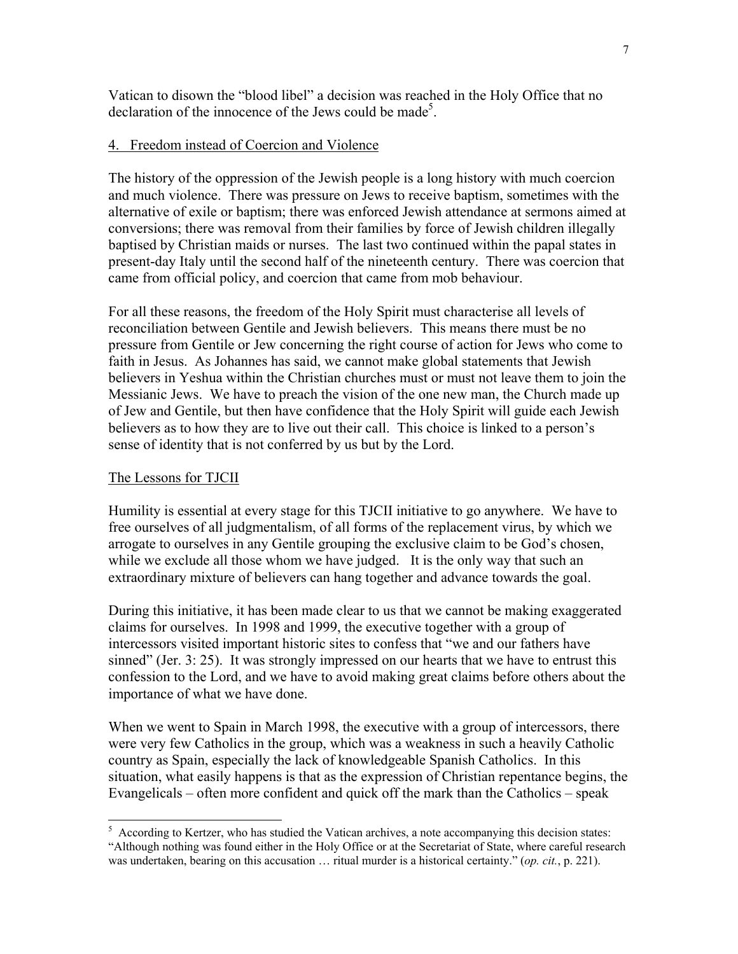Vatican to disown the "blood libel" a decision was reached in the Holy Office that no declaration of the innocence of the Jews could be made<sup>[5](#page-6-0)</sup>.

### 4. Freedom instead of Coercion and Violence

The history of the oppression of the Jewish people is a long history with much coercion and much violence. There was pressure on Jews to receive baptism, sometimes with the alternative of exile or baptism; there was enforced Jewish attendance at sermons aimed at conversions; there was removal from their families by force of Jewish children illegally baptised by Christian maids or nurses. The last two continued within the papal states in present-day Italy until the second half of the nineteenth century. There was coercion that came from official policy, and coercion that came from mob behaviour.

For all these reasons, the freedom of the Holy Spirit must characterise all levels of reconciliation between Gentile and Jewish believers. This means there must be no pressure from Gentile or Jew concerning the right course of action for Jews who come to faith in Jesus. As Johannes has said, we cannot make global statements that Jewish believers in Yeshua within the Christian churches must or must not leave them to join the Messianic Jews. We have to preach the vision of the one new man, the Church made up of Jew and Gentile, but then have confidence that the Holy Spirit will guide each Jewish believers as to how they are to live out their call. This choice is linked to a person's sense of identity that is not conferred by us but by the Lord.

#### The Lessons for TJCII

Humility is essential at every stage for this TJCII initiative to go anywhere. We have to free ourselves of all judgmentalism, of all forms of the replacement virus, by which we arrogate to ourselves in any Gentile grouping the exclusive claim to be God's chosen, while we exclude all those whom we have judged. It is the only way that such an extraordinary mixture of believers can hang together and advance towards the goal.

During this initiative, it has been made clear to us that we cannot be making exaggerated claims for ourselves. In 1998 and 1999, the executive together with a group of intercessors visited important historic sites to confess that "we and our fathers have sinned" (Jer. 3: 25). It was strongly impressed on our hearts that we have to entrust this confession to the Lord, and we have to avoid making great claims before others about the importance of what we have done.

When we went to Spain in March 1998, the executive with a group of intercessors, there were very few Catholics in the group, which was a weakness in such a heavily Catholic country as Spain, especially the lack of knowledgeable Spanish Catholics. In this situation, what easily happens is that as the expression of Christian repentance begins, the Evangelicals – often more confident and quick off the mark than the Catholics – speak

<span id="page-6-0"></span><sup>&</sup>lt;sup>5</sup> According to Kertzer, who has studied the Vatican archives, a note accompanying this decision states: "Although nothing was found either in the Holy Office or at the Secretariat of State, where careful research was undertaken, bearing on this accusation … ritual murder is a historical certainty." (*op. cit.*, p. 221).